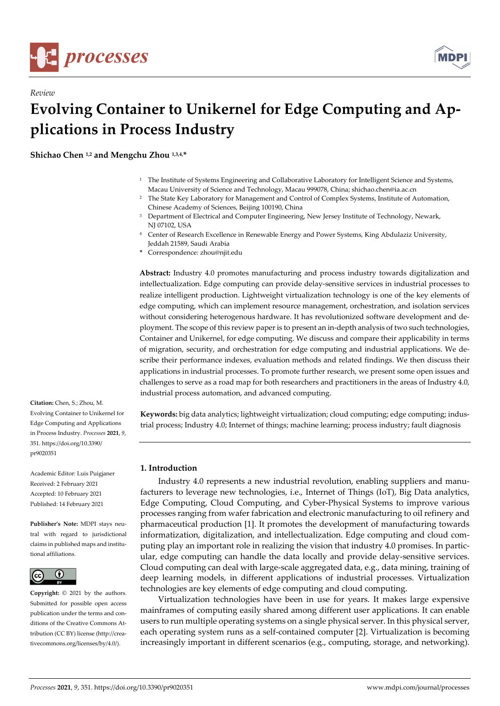

*Review* 



# **Evolving Container to Unikernel for Edge Computing and Applications in Process Industry**

**Shichao Chen 1,2 and Mengchu Zhou 1,3,4,\*** 

- 1 The Institute of Systems Engineering and Collaborative Laboratory for Intelligent Science and Systems, Macau University of Science and Technology, Macau 999078, China; shichao.chen@ia.ac.cn
- 2 The State Key Laboratory for Management and Control of Complex Systems, Institute of Automation, Chinese Academy of Sciences, Beijing 100190, China
- 3 Department of Electrical and Computer Engineering, New Jersey Institute of Technology, Newark, NJ 07102, USA
- 4 Center of Research Excellence in Renewable Energy and Power Systems, King Abdulaziz University, Jeddah 21589, Saudi Arabia
- **\*** Correspondence: zhou@njit.edu

**Abstract:** Industry 4.0 promotes manufacturing and process industry towards digitalization and intellectualization. Edge computing can provide delay-sensitive services in industrial processes to realize intelligent production. Lightweight virtualization technology is one of the key elements of edge computing, which can implement resource management, orchestration, and isolation services without considering heterogenous hardware. It has revolutionized software development and deployment. The scope of this review paper is to present an in-depth analysis of two such technologies, Container and Unikernel, for edge computing. We discuss and compare their applicability in terms of migration, security, and orchestration for edge computing and industrial applications. We describe their performance indexes, evaluation methods and related findings. We then discuss their applications in industrial processes. To promote further research, we present some open issues and challenges to serve as a road map for both researchers and practitioners in the areas of Industry 4.0, industrial process automation, and advanced computing.

**Keywords:** big data analytics; lightweight virtualization; cloud computing; edge computing; industrial process; Industry 4.0; Internet of things; machine learning; process industry; fault diagnosis

# **1. Introduction**

Industry 4.0 represents a new industrial revolution, enabling suppliers and manufacturers to leverage new technologies, i.e., Internet of Things (IoT), Big Data analytics, Edge Computing, Cloud Computing, and Cyber-Physical Systems to improve various processes ranging from wafer fabrication and electronic manufacturing to oil refinery and pharmaceutical production [1]. It promotes the development of manufacturing towards informatization, digitalization, and intellectualization. Edge computing and cloud computing play an important role in realizing the vision that industry 4.0 promises. In particular, edge computing can handle the data locally and provide delay-sensitive services. Cloud computing can deal with large-scale aggregated data, e.g., data mining, training of deep learning models, in different applications of industrial processes. Virtualization technologies are key elements of edge computing and cloud computing.

Virtualization technologies have been in use for years. It makes large expensive mainframes of computing easily shared among different user applications. It can enable users to run multiple operating systems on a single physical server. In this physical server, each operating system runs as a self-contained computer [2]. Virtualization is becoming increasingly important in different scenarios (e.g., computing, storage, and networking).

**Citation:** Chen, S.; Zhou, M. Evolving Container to Unikernel for Edge Computing and Applications in Process Industry. *Processes* **2021**, *9*, 351. https://doi.org/10.3390/ pr9020351

Academic Editor: Luis Puigjaner Received: 2 February 2021 Accepted: 10 February 2021 Published: 14 February 2021

**Publisher's Note:** MDPI stays neutral with regard to jurisdictional claims in published maps and institutional affiliations.



**Copyright:** © 2021 by the authors. Submitted for possible open access publication under the terms and conditions of the Creative Commons Attribution (CC BY) license (http://creativecommons.org/licenses/by/4.0/).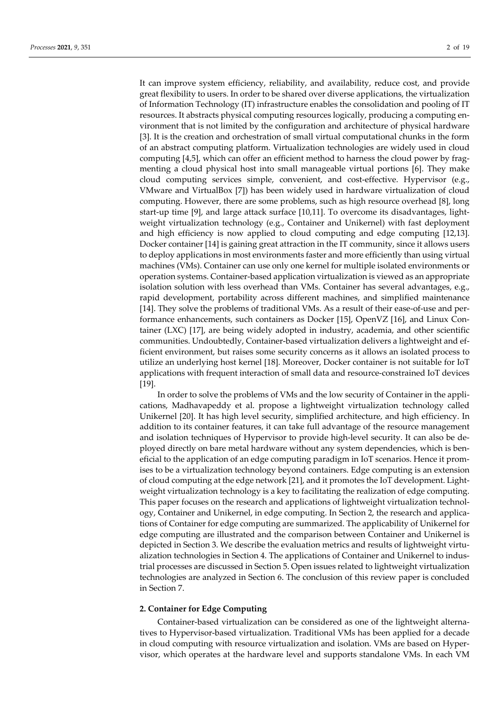It can improve system efficiency, reliability, and availability, reduce cost, and provide great flexibility to users. In order to be shared over diverse applications, the virtualization of Information Technology (IT) infrastructure enables the consolidation and pooling of IT resources. It abstracts physical computing resources logically, producing a computing environment that is not limited by the configuration and architecture of physical hardware [3]. It is the creation and orchestration of small virtual computational chunks in the form of an abstract computing platform. Virtualization technologies are widely used in cloud computing [4,5], which can offer an efficient method to harness the cloud power by fragmenting a cloud physical host into small manageable virtual portions [6]. They make cloud computing services simple, convenient, and cost-effective. Hypervisor (e.g., VMware and VirtualBox [7]) has been widely used in hardware virtualization of cloud computing. However, there are some problems, such as high resource overhead [8], long start-up time [9], and large attack surface [10,11]. To overcome its disadvantages, lightweight virtualization technology (e.g., Container and Unikernel) with fast deployment and high efficiency is now applied to cloud computing and edge computing [12,13]. Docker container [14] is gaining great attraction in the IT community, since it allows users to deploy applications in most environments faster and more efficiently than using virtual machines (VMs). Container can use only one kernel for multiple isolated environments or operation systems. Container-based application virtualization is viewed as an appropriate isolation solution with less overhead than VMs. Container has several advantages, e.g., rapid development, portability across different machines, and simplified maintenance [14]. They solve the problems of traditional VMs. As a result of their ease-of-use and performance enhancements, such containers as Docker [15], OpenVZ [16], and Linux Container (LXC) [17], are being widely adopted in industry, academia, and other scientific communities. Undoubtedly, Container-based virtualization delivers a lightweight and efficient environment, but raises some security concerns as it allows an isolated process to utilize an underlying host kernel [18]. Moreover, Docker container is not suitable for IoT applications with frequent interaction of small data and resource-constrained IoT devices [19].

In order to solve the problems of VMs and the low security of Container in the applications, Madhavapeddy et al. propose a lightweight virtualization technology called Unikernel [20]. It has high level security, simplified architecture, and high efficiency. In addition to its container features, it can take full advantage of the resource management and isolation techniques of Hypervisor to provide high-level security. It can also be deployed directly on bare metal hardware without any system dependencies, which is beneficial to the application of an edge computing paradigm in IoT scenarios. Hence it promises to be a virtualization technology beyond containers. Edge computing is an extension of cloud computing at the edge network [21], and it promotes the IoT development. Lightweight virtualization technology is a key to facilitating the realization of edge computing. This paper focuses on the research and applications of lightweight virtualization technology, Container and Unikernel, in edge computing. In Section 2, the research and applications of Container for edge computing are summarized. The applicability of Unikernel for edge computing are illustrated and the comparison between Container and Unikernel is depicted in Section 3. We describe the evaluation metrics and results of lightweight virtualization technologies in Section 4. The applications of Container and Unikernel to industrial processes are discussed in Section 5. Open issues related to lightweight virtualization technologies are analyzed in Section 6. The conclusion of this review paper is concluded in Section 7.

## **2. Container for Edge Computing**

Container-based virtualization can be considered as one of the lightweight alternatives to Hypervisor-based virtualization. Traditional VMs has been applied for a decade in cloud computing with resource virtualization and isolation. VMs are based on Hypervisor, which operates at the hardware level and supports standalone VMs. In each VM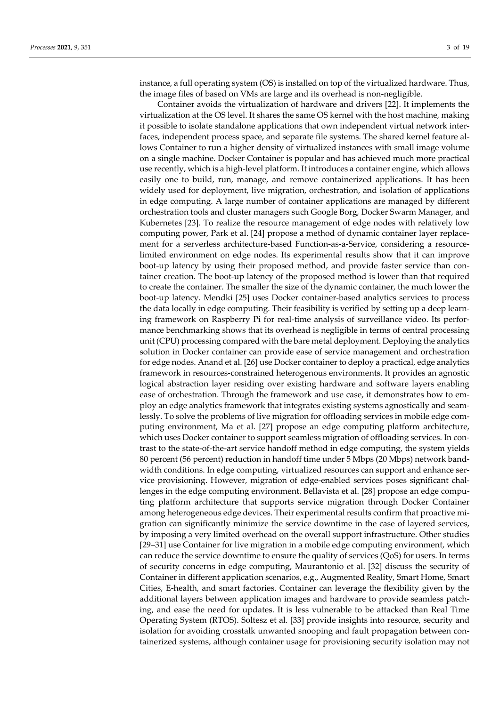instance, a full operating system (OS) is installed on top of the virtualized hardware. Thus, the image files of based on VMs are large and its overhead is non-negligible.

Container avoids the virtualization of hardware and drivers [22]. It implements the virtualization at the OS level. It shares the same OS kernel with the host machine, making it possible to isolate standalone applications that own independent virtual network interfaces, independent process space, and separate file systems. The shared kernel feature allows Container to run a higher density of virtualized instances with small image volume on a single machine. Docker Container is popular and has achieved much more practical use recently, which is a high-level platform. It introduces a container engine, which allows easily one to build, run, manage, and remove containerized applications. It has been widely used for deployment, live migration, orchestration, and isolation of applications in edge computing. A large number of container applications are managed by different orchestration tools and cluster managers such Google Borg, Docker Swarm Manager, and Kubernetes [23]. To realize the resource management of edge nodes with relatively low computing power, Park et al. [24] propose a method of dynamic container layer replacement for a serverless architecture-based Function-as-a-Service, considering a resourcelimited environment on edge nodes. Its experimental results show that it can improve boot-up latency by using their proposed method, and provide faster service than container creation. The boot-up latency of the proposed method is lower than that required to create the container. The smaller the size of the dynamic container, the much lower the boot-up latency. Mendki [25] uses Docker container-based analytics services to process the data locally in edge computing. Their feasibility is verified by setting up a deep learning framework on Raspberry Pi for real-time analysis of surveillance video. Its performance benchmarking shows that its overhead is negligible in terms of central processing unit (CPU) processing compared with the bare metal deployment. Deploying the analytics solution in Docker container can provide ease of service management and orchestration for edge nodes. Anand et al. [26] use Docker container to deploy a practical, edge analytics framework in resources-constrained heterogenous environments. It provides an agnostic logical abstraction layer residing over existing hardware and software layers enabling ease of orchestration. Through the framework and use case, it demonstrates how to employ an edge analytics framework that integrates existing systems agnostically and seamlessly. To solve the problems of live migration for offloading services in mobile edge computing environment, Ma et al. [27] propose an edge computing platform architecture, which uses Docker container to support seamless migration of offloading services. In contrast to the state-of-the-art service handoff method in edge computing, the system yields 80 percent (56 percent) reduction in handoff time under 5 Mbps (20 Mbps) network bandwidth conditions. In edge computing, virtualized resources can support and enhance service provisioning. However, migration of edge-enabled services poses significant challenges in the edge computing environment. Bellavista et al. [28] propose an edge computing platform architecture that supports service migration through Docker Container among heterogeneous edge devices. Their experimental results confirm that proactive migration can significantly minimize the service downtime in the case of layered services, by imposing a very limited overhead on the overall support infrastructure. Other studies [29–31] use Container for live migration in a mobile edge computing environment, which can reduce the service downtime to ensure the quality of services (QoS) for users. In terms of security concerns in edge computing, Maurantonio et al. [32] discuss the security of Container in different application scenarios, e.g., Augmented Reality, Smart Home, Smart Cities, E-health, and smart factories. Container can leverage the flexibility given by the additional layers between application images and hardware to provide seamless patching, and ease the need for updates. It is less vulnerable to be attacked than Real Time Operating System (RTOS). Soltesz et al. [33] provide insights into resource, security and isolation for avoiding crosstalk unwanted snooping and fault propagation between containerized systems, although container usage for provisioning security isolation may not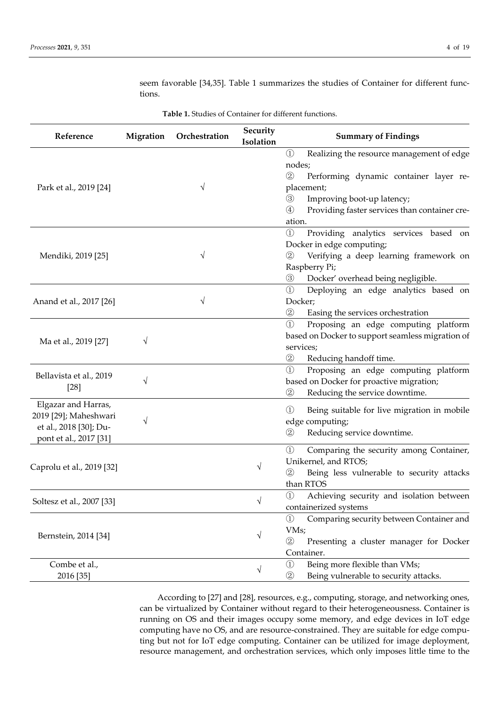| Reference                 | Migration  | Orchestration | Security<br>Isolation | <b>Summary of Findings</b>                                     |
|---------------------------|------------|---------------|-----------------------|----------------------------------------------------------------|
|                           |            |               |                       | $\circled{1}$<br>Realizing the resource management of edge     |
|                           |            |               |                       | nodes;                                                         |
|                           |            |               |                       | $\circled{2}$<br>Performing dynamic container layer re-        |
| Park et al., 2019 [24]    |            | V             |                       | placement;                                                     |
|                           |            |               |                       | $\circled{3}$<br>Improving boot-up latency;                    |
|                           |            |               |                       | Providing faster services than container cre-<br>$\circled{4}$ |
|                           |            |               |                       | ation.                                                         |
|                           |            |               |                       | $\bigcirc$<br>Providing analytics services based on            |
|                           |            |               |                       | Docker in edge computing;                                      |
| Mendiki, 2019 [25]        |            | V             |                       | Verifying a deep learning framework on<br>$\circled{2}$        |
|                           |            |               |                       |                                                                |
|                           |            |               |                       | Raspberry Pi;                                                  |
|                           |            |               |                       | Docker' overhead being negligible.<br>$\circled{3}$            |
|                           |            |               |                       | $\circled{1}$<br>Deploying an edge analytics based on          |
| Anand et al., 2017 [26]   |            | V             |                       | Docker;                                                        |
|                           |            |               |                       | $\circled{2}$<br>Easing the services orchestration             |
|                           |            |               |                       | $\odot$<br>Proposing an edge computing platform                |
| Ma et al., 2019 [27]      | V          |               |                       | based on Docker to support seamless migration of               |
|                           |            |               |                       | services;                                                      |
|                           |            |               |                       | $^{\circledR}$<br>Reducing handoff time.                       |
|                           |            |               |                       | $\bigcirc$<br>Proposing an edge computing platform             |
| Bellavista et al., 2019   | V          |               |                       | based on Docker for proactive migration;                       |
| $[28]$                    |            |               |                       | $\circled{2}$<br>Reducing the service downtime.                |
| Elgazar and Harras,       |            |               |                       |                                                                |
| 2019 [29]; Maheshwari     |            |               |                       | $\circled{1}$<br>Being suitable for live migration in mobile   |
| et al., 2018 [30]; Du-    | V          |               |                       | edge computing;                                                |
| pont et al., 2017 [31]    |            |               |                       | $^{\circledR}$<br>Reducing service downtime.                   |
|                           |            |               |                       | $\bigcirc$<br>Comparing the security among Container,          |
|                           |            |               | √                     | Unikernel, and RTOS;                                           |
| Caprolu et al., 2019 [32] |            |               |                       | $\circled{2}$<br>Being less vulnerable to security attacks     |
|                           |            |               |                       | than RTOS                                                      |
|                           |            |               |                       | $\textcircled{\scriptsize{1}}$                                 |
| Soltesz et al., 2007 [33] |            |               | V                     | Achieving security and isolation between                       |
|                           |            |               |                       | containerized systems                                          |
| Bernstein, 2014 [34]      |            |               |                       | $\circled{1}$<br>Comparing security between Container and      |
|                           | $\sqrt{ }$ |               |                       | VMs;                                                           |
|                           |            |               |                       | $\circled{2}$<br>Presenting a cluster manager for Docker       |
|                           |            |               |                       | Container.                                                     |
| Combe et al.,             |            |               | V                     | Being more flexible than VMs;<br>$\circled{1}$                 |
| 2016 [35]                 |            |               |                       | $\circled{2}$<br>Being vulnerable to security attacks.         |

**Table 1.** Studies of Container for different functions.

seem favorable [34,35]. Table 1 summarizes the studies of Container for different functions.

According to [27] and [28], resources, e.g., computing, storage, and networking ones, can be virtualized by Container without regard to their heterogeneousness. Container is running on OS and their images occupy some memory, and edge devices in IoT edge computing have no OS, and are resource-constrained. They are suitable for edge computing but not for IoT edge computing. Container can be utilized for image deployment, resource management, and orchestration services, which only imposes little time to the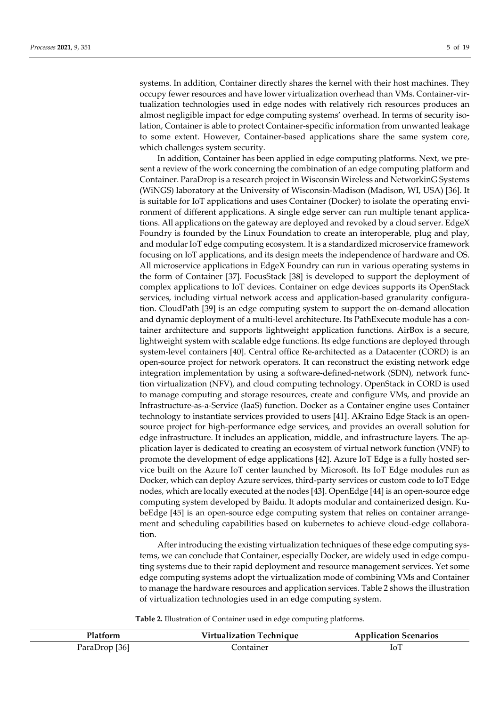systems. In addition, Container directly shares the kernel with their host machines. They occupy fewer resources and have lower virtualization overhead than VMs. Container-virtualization technologies used in edge nodes with relatively rich resources produces an almost negligible impact for edge computing systems' overhead. In terms of security isolation, Container is able to protect Container-specific information from unwanted leakage to some extent. However, Container-based applications share the same system core, which challenges system security.

In addition, Container has been applied in edge computing platforms. Next, we present a review of the work concerning the combination of an edge computing platform and Container. ParaDrop is a research project in Wisconsin Wireless and NetworkinG Systems (WiNGS) laboratory at the University of Wisconsin-Madison (Madison, WI, USA) [36]. It is suitable for IoT applications and uses Container (Docker) to isolate the operating environment of different applications. A single edge server can run multiple tenant applications. All applications on the gateway are deployed and revoked by a cloud server. EdgeX Foundry is founded by the Linux Foundation to create an interoperable, plug and play, and modular IoT edge computing ecosystem. It is a standardized microservice framework focusing on IoT applications, and its design meets the independence of hardware and OS. All microservice applications in EdgeX Foundry can run in various operating systems in the form of Container [37]. FocusStack [38] is developed to support the deployment of complex applications to IoT devices. Container on edge devices supports its OpenStack services, including virtual network access and application-based granularity configuration. CloudPath [39] is an edge computing system to support the on-demand allocation and dynamic deployment of a multi-level architecture. Its PathExecute module has a container architecture and supports lightweight application functions. AirBox is a secure, lightweight system with scalable edge functions. Its edge functions are deployed through system-level containers [40]. Central office Re-architected as a Datacenter (CORD) is an open-source project for network operators. It can reconstruct the existing network edge integration implementation by using a software-defined-network (SDN), network function virtualization (NFV), and cloud computing technology. OpenStack in CORD is used to manage computing and storage resources, create and configure VMs, and provide an Infrastructure-as-a-Service (IaaS) function. Docker as a Container engine uses Container technology to instantiate services provided to users [41]. AKraino Edge Stack is an opensource project for high-performance edge services, and provides an overall solution for edge infrastructure. It includes an application, middle, and infrastructure layers. The application layer is dedicated to creating an ecosystem of virtual network function (VNF) to promote the development of edge applications [42]. Azure IoT Edge is a fully hosted service built on the Azure IoT center launched by Microsoft. Its IoT Edge modules run as Docker, which can deploy Azure services, third-party services or custom code to IoT Edge nodes, which are locally executed at the nodes [43]. OpenEdge [44] is an open-source edge computing system developed by Baidu. It adopts modular and containerized design. KubeEdge [45] is an open-source edge computing system that relies on container arrangement and scheduling capabilities based on kubernetes to achieve cloud-edge collaboration.

After introducing the existing virtualization techniques of these edge computing systems, we can conclude that Container, especially Docker, are widely used in edge computing systems due to their rapid deployment and resource management services. Yet some edge computing systems adopt the virtualization mode of combining VMs and Container to manage the hardware resources and application services. Table 2 shows the illustration of virtualization technologies used in an edge computing system.

**Table 2.** Illustration of Container used in edge computing platforms.

| <b>Platform</b> | <b>Virtualization Technique</b> | <b>Application Scenarios</b> |
|-----------------|---------------------------------|------------------------------|
| ParaDrop [36]   | Container                       | IоT                          |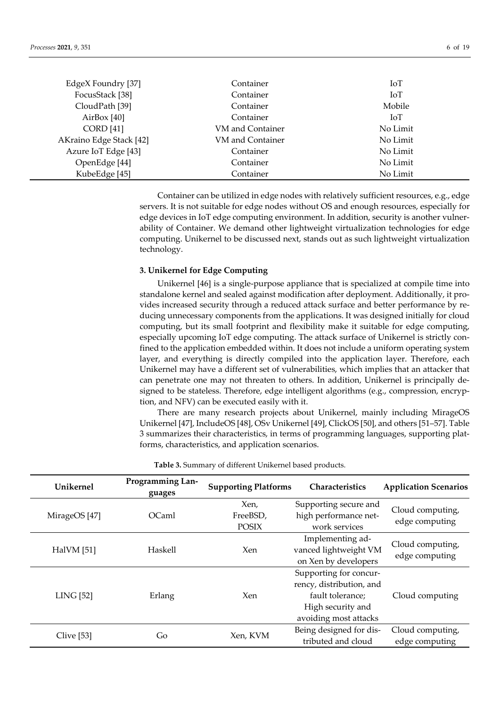| EdgeX Foundry [37]      | Container        | IoT        |
|-------------------------|------------------|------------|
| FocusStack [38]         | Container        | IoT        |
| CloudPath [39]          | Container        | Mobile     |
| AirBox $[40]$           | Container        | <b>IoT</b> |
| <b>CORD</b> [41]        | VM and Container | No Limit   |
| AKraino Edge Stack [42] | VM and Container | No Limit   |
| Azure IoT Edge [43]     | Container        | No Limit   |
| OpenEdge [44]           | Container        | No Limit   |
| KubeEdge [45]           | Container        | No Limit   |

Container can be utilized in edge nodes with relatively sufficient resources, e.g., edge servers. It is not suitable for edge nodes without OS and enough resources, especially for edge devices in IoT edge computing environment. In addition, security is another vulnerability of Container. We demand other lightweight virtualization technologies for edge computing. Unikernel to be discussed next, stands out as such lightweight virtualization technology.

# **3. Unikernel for Edge Computing**

Unikernel [46] is a single-purpose appliance that is specialized at compile time into standalone kernel and sealed against modification after deployment. Additionally, it provides increased security through a reduced attack surface and better performance by reducing unnecessary components from the applications. It was designed initially for cloud computing, but its small footprint and flexibility make it suitable for edge computing, especially upcoming IoT edge computing. The attack surface of Unikernel is strictly confined to the application embedded within. It does not include a uniform operating system layer, and everything is directly compiled into the application layer. Therefore, each Unikernel may have a different set of vulnerabilities, which implies that an attacker that can penetrate one may not threaten to others. In addition, Unikernel is principally designed to be stateless. Therefore, edge intelligent algorithms (e.g., compression, encryption, and NFV) can be executed easily with it.

There are many research projects about Unikernel, mainly including MirageOS Unikernel [47], IncludeOS [48], OSv Unikernel [49], ClickOS [50], and others [51–57]. Table 3 summarizes their characteristics, in terms of programming languages, supporting platforms, characteristics, and application scenarios.

| Unikernel         | <b>Programming Lan-</b><br>guages | <b>Supporting Platforms</b>      | <b>Characteristics</b>                                                                                               | <b>Application Scenarios</b>       |
|-------------------|-----------------------------------|----------------------------------|----------------------------------------------------------------------------------------------------------------------|------------------------------------|
| MirageOS [47]     | OCaml                             | Xen,<br>FreeBSD,<br><b>POSIX</b> | Supporting secure and<br>high performance net-<br>work services                                                      | Cloud computing,<br>edge computing |
| <b>HalVM</b> [51] | Haskell                           | Xen                              | Implementing ad-<br>vanced lightweight VM<br>on Xen by developers                                                    | Cloud computing,<br>edge computing |
| <b>LING</b> [52]  | Erlang                            | <b>Xen</b>                       | Supporting for concur-<br>rency, distribution, and<br>fault tolerance;<br>High security and<br>avoiding most attacks | Cloud computing                    |
| Clive [53]        | Go                                | Xen, KVM                         | Being designed for dis-<br>tributed and cloud                                                                        | Cloud computing,<br>edge computing |

**Table 3.** Summary of different Unikernel based products.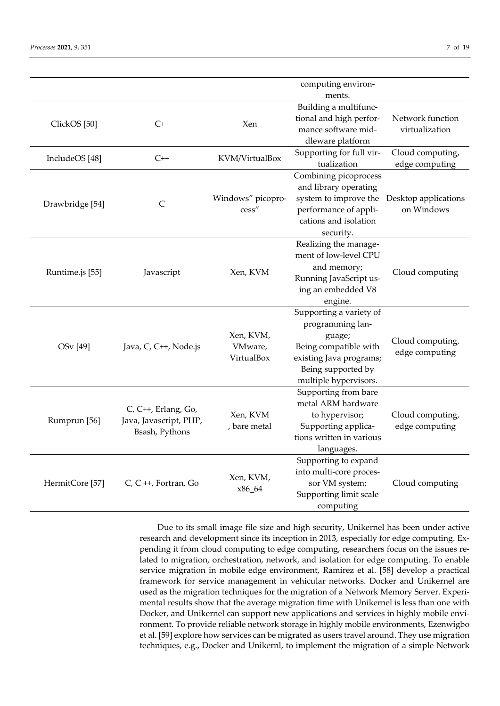|                            |                                               |                     | computing environ-<br>ments.                     |                                    |  |
|----------------------------|-----------------------------------------------|---------------------|--------------------------------------------------|------------------------------------|--|
|                            |                                               |                     |                                                  |                                    |  |
|                            |                                               |                     | Building a multifunc-<br>tional and high perfor- | Network function                   |  |
| ClickOS <sup>[50]</sup>    | $C++$                                         | Xen                 | mance software mid-                              | virtualization                     |  |
|                            |                                               |                     | dleware platform                                 |                                    |  |
|                            |                                               |                     |                                                  |                                    |  |
| IncludeOS [48]             | $C++$                                         | KVM/VirtualBox      | Supporting for full vir-<br>tualization          | Cloud computing,<br>edge computing |  |
|                            |                                               |                     | Combining picoprocess                            |                                    |  |
|                            |                                               |                     | and library operating                            |                                    |  |
|                            |                                               | Windows" picopro-   | system to improve the                            | Desktop applications               |  |
| Drawbridge [54]            | $\mathsf{C}$                                  | cess"               | performance of appli-                            | on Windows                         |  |
|                            |                                               |                     | cations and isolation                            |                                    |  |
|                            |                                               |                     | security.                                        |                                    |  |
|                            |                                               |                     | Realizing the manage-                            |                                    |  |
|                            |                                               |                     | ment of low-level CPU                            |                                    |  |
|                            | Javascript                                    |                     | and memory;                                      |                                    |  |
| Runtime.js [55]            |                                               | Xen, KVM            | Running JavaScript us-                           | Cloud computing                    |  |
|                            |                                               |                     | ing an embedded V8                               |                                    |  |
|                            |                                               |                     | engine.                                          |                                    |  |
|                            |                                               |                     | Supporting a variety of                          |                                    |  |
|                            |                                               |                     | programming lan-                                 |                                    |  |
|                            | Java, C, C++, Node.js                         | Xen, KVM,           | guage;                                           |                                    |  |
| OSv [49]                   |                                               | VMware,             | Being compatible with                            | Cloud computing,                   |  |
|                            |                                               | VirtualBox          | existing Java programs;                          | edge computing                     |  |
|                            |                                               |                     | Being supported by                               |                                    |  |
|                            |                                               |                     | multiple hypervisors.                            |                                    |  |
|                            |                                               |                     | Supporting from bare                             |                                    |  |
| Rumprun [56]               | C, C++, Erlang, Go,<br>Java, Javascript, PHP, |                     | metal ARM hardware                               |                                    |  |
|                            |                                               | Xen, KVM            | to hypervisor;                                   | Cloud computing,                   |  |
|                            |                                               | , bare metal        | Supporting applica-                              | edge computing                     |  |
|                            | Bsash, Pythons                                |                     | tions written in various                         |                                    |  |
|                            |                                               |                     | languages.                                       |                                    |  |
|                            |                                               |                     | Supporting to expand                             |                                    |  |
| HermitCore <sup>[57]</sup> |                                               |                     | into multi-core proces-                          |                                    |  |
|                            | C, C ++, Fortran, Go                          | Xen, KVM,<br>x86_64 | sor VM system;                                   | Cloud computing                    |  |
|                            |                                               |                     | Supporting limit scale                           |                                    |  |
|                            |                                               |                     | computing                                        |                                    |  |

Due to its small image file size and high security, Unikernel has been under active research and development since its inception in 2013, especially for edge computing. Expending it from cloud computing to edge computing, researchers focus on the issues related to migration, orchestration, network, and isolation for edge computing. To enable service migration in mobile edge environment, Ramirez et al. [58] develop a practical framework for service management in vehicular networks. Docker and Unikernel are used as the migration techniques for the migration of a Network Memory Server. Experimental results show that the average migration time with Unikernel is less than one with Docker, and Unikernel can support new applications and services in highly mobile environment. To provide reliable network storage in highly mobile environments, Ezenwigbo et al. [59] explore how services can be migrated as users travel around. They use migration techniques, e.g., Docker and Unikernl, to implement the migration of a simple Network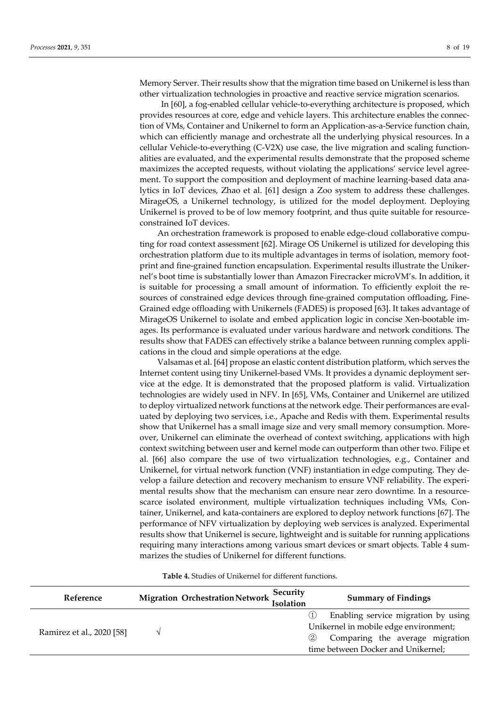Memory Server. Their results show that the migration time based on Unikernel is less than other virtualization technologies in proactive and reactive service migration scenarios.

In [60], a fog-enabled cellular vehicle-to-everything architecture is proposed, which provides resources at core, edge and vehicle layers. This architecture enables the connection of VMs, Container and Unikernel to form an Application-as-a-Service function chain, which can efficiently manage and orchestrate all the underlying physical resources. In a cellular Vehicle-to-everything (C-V2X) use case, the live migration and scaling functionalities are evaluated, and the experimental results demonstrate that the proposed scheme maximizes the accepted requests, without violating the applications' service level agreement. To support the composition and deployment of machine learning-based data analytics in IoT devices, Zhao et al. [61] design a Zoo system to address these challenges. MirageOS, a Unikernel technology, is utilized for the model deployment. Deploying Unikernel is proved to be of low memory footprint, and thus quite suitable for resourceconstrained IoT devices.

An orchestration framework is proposed to enable edge-cloud collaborative computing for road context assessment [62]. Mirage OS Unikernel is utilized for developing this orchestration platform due to its multiple advantages in terms of isolation, memory footprint and fine-grained function encapsulation. Experimental results illustrate the Unikernel's boot time is substantially lower than Amazon Firecracker microVM's. In addition, it is suitable for processing a small amount of information. To efficiently exploit the resources of constrained edge devices through fine-grained computation offloading, Fine-Grained edge offloading with Unikernels (FADES) is proposed [63]. It takes advantage of MirageOS Unikernel to isolate and embed application logic in concise Xen-bootable images. Its performance is evaluated under various hardware and network conditions. The results show that FADES can effectively strike a balance between running complex applications in the cloud and simple operations at the edge.

Valsamas et al. [64] propose an elastic content distribution platform, which serves the Internet content using tiny Unikernel-based VMs. It provides a dynamic deployment service at the edge. It is demonstrated that the proposed platform is valid. Virtualization technologies are widely used in NFV. In [65], VMs, Container and Unikernel are utilized to deploy virtualized network functions at the network edge. Their performances are evaluated by deploying two services, i.e., Apache and Redis with them. Experimental results show that Unikernel has a small image size and very small memory consumption. Moreover, Unikernel can eliminate the overhead of context switching, applications with high context switching between user and kernel mode can outperform than other two. Filipe et al. [66] also compare the use of two virtualization technologies, e.g., Container and Unikernel, for virtual network function (VNF) instantiation in edge computing. They develop a failure detection and recovery mechanism to ensure VNF reliability. The experimental results show that the mechanism can ensure near zero downtime. In a resourcescarce isolated environment, multiple virtualization techniques including VMs, Container, Unikernel, and kata-containers are explored to deploy network functions [67]. The performance of NFV virtualization by deploying web services is analyzed. Experimental results show that Unikernel is secure, lightweight and is suitable for running applications requiring many interactions among various smart devices or smart objects. Table 4 summarizes the studies of Unikernel for different functions.

# **Table 4.** Studies of Unikernel for different functions.

| Reference                 |  | Security<br>Migration Orchestration Network Isolation | <b>Summary of Findings</b>                                                   |
|---------------------------|--|-------------------------------------------------------|------------------------------------------------------------------------------|
| Ramirez et al., 2020 [58] |  |                                                       | Enabling service migration by using<br>Unikernel in mobile edge environment; |
|                           |  | (2)                                                   | Comparing the average migration<br>time between Docker and Unikernel;        |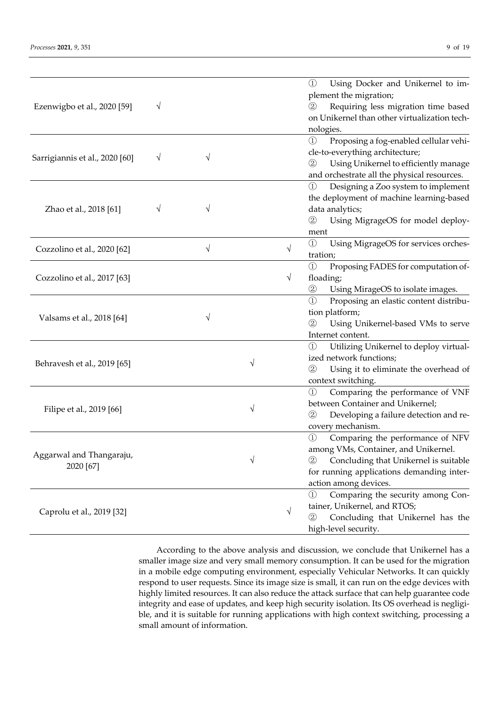| Ezenwigbo et al., 2020 [59]           | V         |   |   |           | $\circled{1}$<br>Using Docker and Unikernel to im-<br>plement the migration;<br>Requiring less migration time based<br>$\left( 2\right)$<br>on Unikernel than other virtualization tech-<br>nologies.            |
|---------------------------------------|-----------|---|---|-----------|------------------------------------------------------------------------------------------------------------------------------------------------------------------------------------------------------------------|
| Sarrigiannis et al., 2020 [60]        | $\sqrt{}$ | V |   |           | Proposing a fog-enabled cellular vehi-<br>$\circled{1}$<br>cle-to-everything architecture;<br>Using Unikernel to efficiently manage<br>$\circled{2}$<br>and orchestrate all the physical resources.              |
| Zhao et al., 2018 [61]                | V         |   |   |           | Designing a Zoo system to implement<br>$\textcircled{\scriptsize{1}}$<br>the deployment of machine learning-based<br>data analytics;<br>Using MigrageOS for model deploy-<br>$\circled{2}$<br>ment               |
| Cozzolino et al., 2020 [62]           |           | V |   | $\sqrt{}$ | $\circled{1}$<br>Using MigrageOS for services orches-<br>tration;                                                                                                                                                |
| Cozzolino et al., 2017 [63]           |           |   |   | $\sqrt{}$ | $\circled{1}$<br>Proposing FADES for computation of-<br>floading;<br>Using MirageOS to isolate images.<br>$^{\rm (2)}$                                                                                           |
| Valsams et al., 2018 [64]             |           |   |   |           | Proposing an elastic content distribu-<br>$\textcircled{\scriptsize{1}}$<br>tion platform;<br>$\circled{2}$<br>Using Unikernel-based VMs to serve<br>Internet content.                                           |
| Behravesh et al., 2019 [65]           |           |   | V |           | Utilizing Unikernel to deploy virtual-<br>$\circled{1}$<br>ized network functions;<br>Using it to eliminate the overhead of<br>$\circled{2}$<br>context switching.                                               |
| Filipe et al., 2019 [66]              |           |   | V |           | Comparing the performance of VNF<br>$\circled{1}$<br>between Container and Unikernel;<br>$^{\circledR}$<br>Developing a failure detection and re-<br>covery mechanism.                                           |
| Aggarwal and Thangaraju,<br>2020 [67] |           |   | V |           | Comparing the performance of NFV<br>$^{\circledR}$<br>among VMs, Container, and Unikernel.<br>Concluding that Unikernel is suitable<br>(2)<br>for running applications demanding inter-<br>action among devices. |
| Caprolu et al., 2019 [32]             |           |   |   | $\sqrt{}$ | Comparing the security among Con-<br>$\circled{1}$<br>tainer, Unikernel, and RTOS;<br>Concluding that Unikernel has the<br>(2)<br>high-level security.                                                           |

According to the above analysis and discussion, we conclude that Unikernel has a smaller image size and very small memory consumption. It can be used for the migration in a mobile edge computing environment, especially Vehicular Networks. It can quickly respond to user requests. Since its image size is small, it can run on the edge devices with highly limited resources. It can also reduce the attack surface that can help guarantee code integrity and ease of updates, and keep high security isolation. Its OS overhead is negligible, and it is suitable for running applications with high context switching, processing a small amount of information.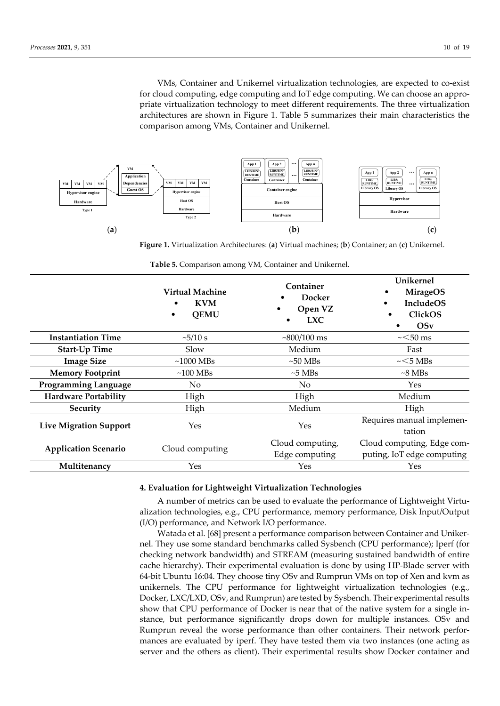VMs, Container and Unikernel virtualization technologies, are expected to co-exist for cloud computing, edge computing and IoT edge computing. We can choose an appropriate virtualization technology to meet different requirements. The three virtualization architectures are shown in Figure 1. Table 5 summarizes their main characteristics the comparison among VMs, Container and Unikernel.



**Figure 1.** Virtualization Architectures: (**a**) Virtual machines; (**b**) Container; an (**c**) Unikernel.

|                               | <b>Virtual Machine</b><br><b>KVM</b><br><b>QEMU</b><br>$\bullet$ | Container<br>Docker<br>Open VZ<br>$\bullet$<br><b>LXC</b> | Unikernel<br><b>MirageOS</b><br><b>IncludeOS</b><br>٠<br>ClickOS<br>OSv |
|-------------------------------|------------------------------------------------------------------|-----------------------------------------------------------|-------------------------------------------------------------------------|
| <b>Instantiation Time</b>     | $\approx$ 5/10 s                                                 | $~800/100 \text{ ms}$                                     | $\sim$ 50 ms                                                            |
| <b>Start-Up Time</b>          | Slow                                                             | Medium                                                    | Fast                                                                    |
| <b>Image Size</b>             | $\sim$ 1000 MBs                                                  | $\sim 50$ MBs                                             | $\sim$ 5 MBs                                                            |
| <b>Memory Footprint</b>       | $~100$ MBs                                                       | $\sim$ 5 MBs                                              | $\sim$ 8 MBs                                                            |
| <b>Programming Language</b>   | No                                                               | No                                                        | Yes                                                                     |
| <b>Hardware Portability</b>   | High                                                             | High                                                      | Medium                                                                  |
| Security                      | High                                                             | Medium                                                    | High                                                                    |
| <b>Live Migration Support</b> | Yes                                                              | Yes                                                       | Requires manual implemen-<br>tation                                     |
| <b>Application Scenario</b>   | Cloud computing                                                  | Cloud computing,                                          | Cloud computing, Edge com-                                              |
|                               |                                                                  | Edge computing                                            | puting, IoT edge computing                                              |
| Multitenancy                  | Yes                                                              | Yes                                                       | Yes                                                                     |

**Table 5.** Comparison among VM, Container and Unikernel.

# **4. Evaluation for Lightweight Virtualization Technologies**

A number of metrics can be used to evaluate the performance of Lightweight Virtualization technologies, e.g., CPU performance, memory performance, Disk Input/Output (I/O) performance, and Network I/O performance.

Watada et al. [68] present a performance comparison between Container and Unikernel. They use some standard benchmarks called Sysbench (CPU performance); Iperf (for checking network bandwidth) and STREAM (measuring sustained bandwidth of entire cache hierarchy). Their experimental evaluation is done by using HP-Blade server with 64-bit Ubuntu 16:04. They choose tiny OSv and Rumprun VMs on top of Xen and kvm as unikernels. The CPU performance for lightweight virtualization technologies (e.g., Docker, LXC/LXD, OSv, and Rumprun) are tested by Sysbench. Their experimental results show that CPU performance of Docker is near that of the native system for a single instance, but performance significantly drops down for multiple instances. OSv and Rumprun reveal the worse performance than other containers. Their network performances are evaluated by iperf. They have tested them via two instances (one acting as server and the others as client). Their experimental results show Docker container and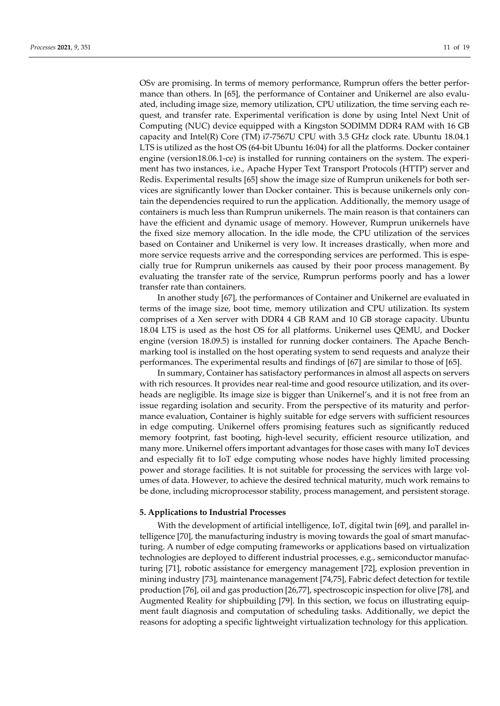OSv are promising. In terms of memory performance, Rumprun offers the better performance than others. In [65], the performance of Container and Unikernel are also evaluated, including image size, memory utilization, CPU utilization, the time serving each request, and transfer rate. Experimental verification is done by using Intel Next Unit of Computing (NUC) device equipped with a Kingston SODIMM DDR4 RAM with 16 GB capacity and Intel(R) Core (TM) i7-7567U CPU with 3.5 GHz clock rate. Ubuntu 18.04.1 LTS is utilized as the host OS (64-bit Ubuntu 16:04) for all the platforms. Docker container engine (version18.06.1-ce) is installed for running containers on the system. The experiment has two instances, i.e., Apache Hyper Text Transport Protocols (HTTP) server and Redis. Experimental results [65] show the image size of Rumprun unikenels for both services are significantly lower than Docker container. This is because unikernels only contain the dependencies required to run the application. Additionally, the memory usage of containers is much less than Rumprun unikernels. The main reason is that containers can have the efficient and dynamic usage of memory. However, Rumprun unikernels have the fixed size memory allocation. In the idle mode, the CPU utilization of the services based on Container and Unikernel is very low. It increases drastically, when more and more service requests arrive and the corresponding services are performed. This is especially true for Rumprun unikernels aas caused by their poor process management. By evaluating the transfer rate of the service, Rumprun performs poorly and has a lower transfer rate than containers.

In another study [67], the performances of Container and Unikernel are evaluated in terms of the image size, boot time, memory utilization and CPU utilization. Its system comprises of a Xen server with DDR4 4 GB RAM and 10 GB storage capacity. Ubuntu 18.04 LTS is used as the host OS for all platforms. Unikernel uses QEMU, and Docker engine (version 18.09.5) is installed for running docker containers. The Apache Benchmarking tool is installed on the host operating system to send requests and analyze their performances. The experimental results and findings of [67] are similar to those of [65].

In summary, Container has satisfactory performances in almost all aspects on servers with rich resources. It provides near real-time and good resource utilization, and its overheads are negligible. Its image size is bigger than Unikernel's, and it is not free from an issue regarding isolation and security. From the perspective of its maturity and performance evaluation, Container is highly suitable for edge servers with sufficient resources in edge computing. Unikernel offers promising features such as significantly reduced memory footprint, fast booting, high-level security, efficient resource utilization, and many more. Unikernel offers important advantages for those cases with many IoT devices and especially fit to IoT edge computing whose nodes have highly limited processing power and storage facilities. It is not suitable for processing the services with large volumes of data. However, to achieve the desired technical maturity, much work remains to be done, including microprocessor stability, process management, and persistent storage.

#### **5. Applications to Industrial Processes**

With the development of artificial intelligence, IoT, digital twin [69], and parallel intelligence [70], the manufacturing industry is moving towards the goal of smart manufacturing. A number of edge computing frameworks or applications based on virtualization technologies are deployed to different industrial processes, e.g., semiconductor manufacturing [71], robotic assistance for emergency management [72], explosion prevention in mining industry [73], maintenance management [74,75], Fabric defect detection for textile production [76], oil and gas production [26,77], spectroscopic inspection for olive [78], and Augmented Reality for shipbuilding [79]. In this section, we focus on illustrating equipment fault diagnosis and computation of scheduling tasks. Additionally, we depict the reasons for adopting a specific lightweight virtualization technology for this application.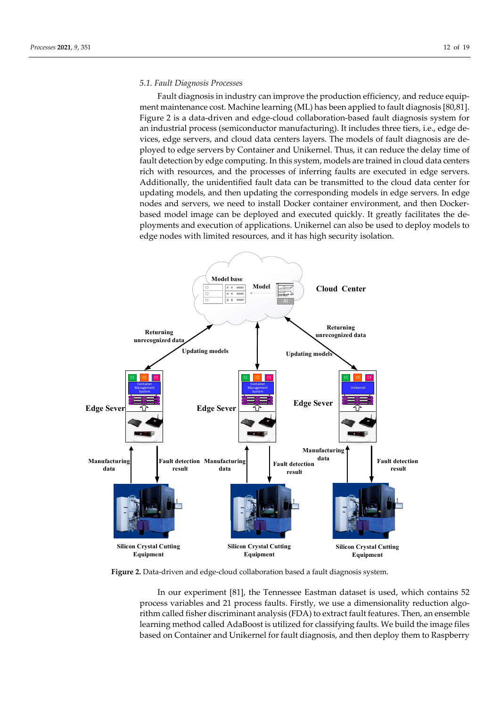# *5.1. Fault Diagnosis Processes*

Fault diagnosis in industry can improve the production efficiency, and reduce equipment maintenance cost. Machine learning (ML) has been applied to fault diagnosis [80,81]. Figure 2 is a data-driven and edge-cloud collaboration-based fault diagnosis system for an industrial process (semiconductor manufacturing). It includes three tiers, i.e., edge devices, edge servers, and cloud data centers layers. The models of fault diagnosis are deployed to edge servers by Container and Unikernel. Thus, it can reduce the delay time of fault detection by edge computing. In this system, models are trained in cloud data centers rich with resources, and the processes of inferring faults are executed in edge servers. Additionally, the unidentified fault data can be transmitted to the cloud data center for updating models, and then updating the corresponding models in edge servers. In edge nodes and servers, we need to install Docker container environment, and then Dockerbased model image can be deployed and executed quickly. It greatly facilitates the deployments and execution of applications. Unikernel can also be used to deploy models to edge nodes with limited resources, and it has high security isolation.



**Figure 2.** Data-driven and edge-cloud collaboration based a fault diagnosis system.

In our experiment [81], the Tennessee Eastman dataset is used, which contains 52 process variables and 21 process faults. Firstly, we use a dimensionality reduction algorithm called fisher discriminant analysis (FDA) to extract fault features. Then, an ensemble learning method called AdaBoost is utilized for classifying faults. We build the image files based on Container and Unikernel for fault diagnosis, and then deploy them to Raspberry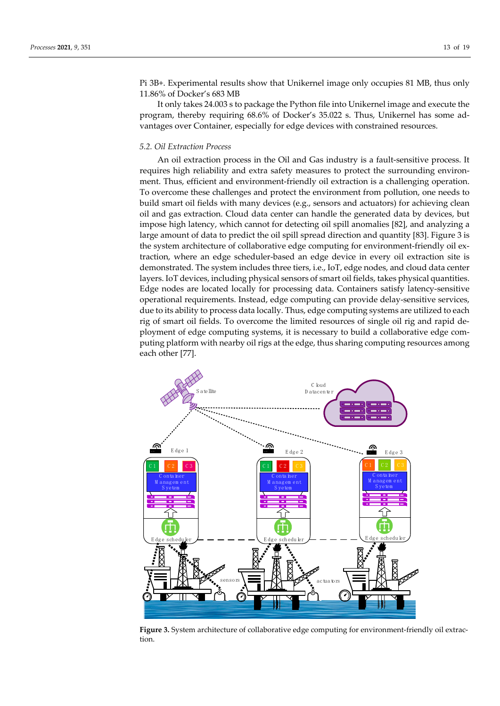Pi 3B+. Experimental results show that Unikernel image only occupies 81 MB, thus only 11.86% of Docker's 683 MB

It only takes 24.003 s to package the Python file into Unikernel image and execute the program, thereby requiring 68.6% of Docker's 35.022 s. Thus, Unikernel has some advantages over Container, especially for edge devices with constrained resources.

# *5.2. Oil Extraction Process*

An oil extraction process in the Oil and Gas industry is a fault-sensitive process. It requires high reliability and extra safety measures to protect the surrounding environment. Thus, efficient and environment-friendly oil extraction is a challenging operation. To overcome these challenges and protect the environment from pollution, one needs to build smart oil fields with many devices (e.g., sensors and actuators) for achieving clean oil and gas extraction. Cloud data center can handle the generated data by devices, but impose high latency, which cannot for detecting oil spill anomalies [82], and analyzing a large amount of data to predict the oil spill spread direction and quantity [83]. Figure 3 is the system architecture of collaborative edge computing for environment-friendly oil extraction, where an edge scheduler-based an edge device in every oil extraction site is demonstrated. The system includes three tiers, i.e., IoT, edge nodes, and cloud data center layers. IoT devices, including physical sensors of smart oil fields, takes physical quantities. Edge nodes are located locally for processing data. Containers satisfy latency-sensitive operational requirements. Instead, edge computing can provide delay-sensitive services, due to its ability to process data locally. Thus, edge computing systems are utilized to each rig of smart oil fields. To overcome the limited resources of single oil rig and rapid deployment of edge computing systems, it is necessary to build a collaborative edge computing platform with nearby oil rigs at the edge, thus sharing computing resources among each other [77].



**Figure 3.** System architecture of collaborative edge computing for environment-friendly oil extraction.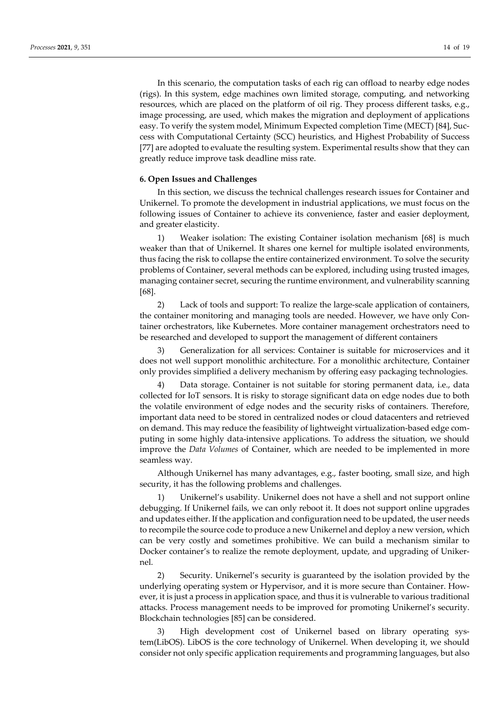In this scenario, the computation tasks of each rig can offload to nearby edge nodes (rigs). In this system, edge machines own limited storage, computing, and networking resources, which are placed on the platform of oil rig. They process different tasks, e.g., image processing, are used, which makes the migration and deployment of applications easy. To verify the system model, Minimum Expected completion Time (MECT) [84], Success with Computational Certainty (SCC) heuristics, and Highest Probability of Success [77] are adopted to evaluate the resulting system. Experimental results show that they can greatly reduce improve task deadline miss rate.

# **6. Open Issues and Challenges**

In this section, we discuss the technical challenges research issues for Container and Unikernel. To promote the development in industrial applications, we must focus on the following issues of Container to achieve its convenience, faster and easier deployment, and greater elasticity.

1) Weaker isolation: The existing Container isolation mechanism [68] is much weaker than that of Unikernel. It shares one kernel for multiple isolated environments, thus facing the risk to collapse the entire containerized environment. To solve the security problems of Container, several methods can be explored, including using trusted images, managing container secret, securing the runtime environment, and vulnerability scanning [68].

2) Lack of tools and support: To realize the large-scale application of containers, the container monitoring and managing tools are needed. However, we have only Container orchestrators, like Kubernetes. More container management orchestrators need to be researched and developed to support the management of different containers

3) Generalization for all services: Container is suitable for microservices and it does not well support monolithic architecture. For a monolithic architecture, Container only provides simplified a delivery mechanism by offering easy packaging technologies.

Data storage. Container is not suitable for storing permanent data, i.e., data collected for IoT sensors. It is risky to storage significant data on edge nodes due to both the volatile environment of edge nodes and the security risks of containers. Therefore, important data need to be stored in centralized nodes or cloud datacenters and retrieved on demand. This may reduce the feasibility of lightweight virtualization-based edge computing in some highly data-intensive applications. To address the situation, we should improve the *Data Volumes* of Container, which are needed to be implemented in more seamless way.

Although Unikernel has many advantages, e.g., faster booting, small size, and high security, it has the following problems and challenges.

Unikernel's usability. Unikernel does not have a shell and not support online debugging. If Unikernel fails, we can only reboot it. It does not support online upgrades and updates either. If the application and configuration need to be updated, the user needs to recompile the source code to produce a new Unikernel and deploy a new version, which can be very costly and sometimes prohibitive. We can build a mechanism similar to Docker container's to realize the remote deployment, update, and upgrading of Unikernel.

2) Security. Unikernel's security is guaranteed by the isolation provided by the underlying operating system or Hypervisor, and it is more secure than Container. However, it is just a process in application space, and thus it is vulnerable to various traditional attacks. Process management needs to be improved for promoting Unikernel's security. Blockchain technologies [85] can be considered.

3) High development cost of Unikernel based on library operating system(LibOS). LibOS is the core technology of Unikernel. When developing it, we should consider not only specific application requirements and programming languages, but also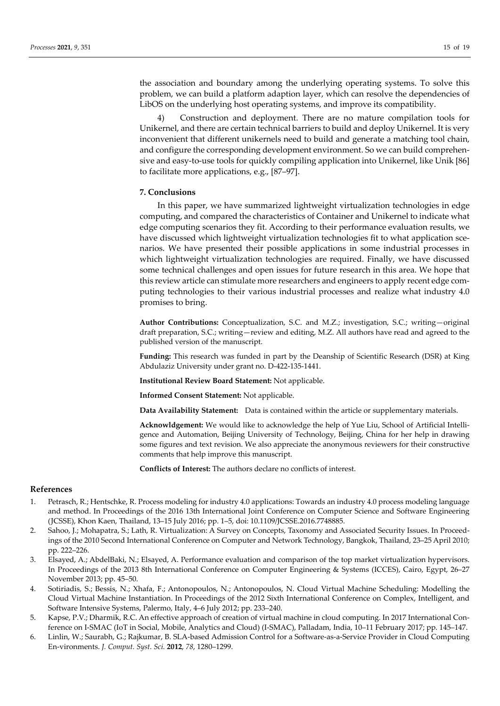the association and boundary among the underlying operating systems. To solve this problem, we can build a platform adaption layer, which can resolve the dependencies of LibOS on the underlying host operating systems, and improve its compatibility.

4) Construction and deployment. There are no mature compilation tools for Unikernel, and there are certain technical barriers to build and deploy Unikernel. It is very inconvenient that different unikernels need to build and generate a matching tool chain, and configure the corresponding development environment. So we can build comprehensive and easy-to-use tools for quickly compiling application into Unikernel, like Unik [86] to facilitate more applications, e.g., [87–97].

# **7. Conclusions**

In this paper, we have summarized lightweight virtualization technologies in edge computing, and compared the characteristics of Container and Unikernel to indicate what edge computing scenarios they fit. According to their performance evaluation results, we have discussed which lightweight virtualization technologies fit to what application scenarios. We have presented their possible applications in some industrial processes in which lightweight virtualization technologies are required. Finally, we have discussed some technical challenges and open issues for future research in this area. We hope that this review article can stimulate more researchers and engineers to apply recent edge computing technologies to their various industrial processes and realize what industry 4.0 promises to bring.

**Author Contributions:** Conceptualization, S.C. and M.Z.; investigation, S.C.; writing—original draft preparation, S.C.; writing—review and editing, M.Z. All authors have read and agreed to the published version of the manuscript.

**Funding:** This research was funded in part by the Deanship of Scientific Research (DSR) at King Abdulaziz University under grant no. D-422-135-1441.

**Institutional Review Board Statement:** Not applicable.

**Informed Consent Statement:** Not applicable.

**Data Availability Statement:** Data is contained within the article or supplementary materials.

**Acknowldgement:** We would like to acknowledge the help of Yue Liu, School of Artificial Intelligence and Automation, Beijing University of Technology, Beijing, China for her help in drawing some figures and text revision. We also appreciate the anonymous reviewers for their constructive comments that help improve this manuscript.

**Conflicts of Interest:** The authors declare no conflicts of interest.

#### **References**

- 1. Petrasch, R.; Hentschke, R. Process modeling for industry 4.0 applications: Towards an industry 4.0 process modeling language and method. In Proceedings of the 2016 13th International Joint Conference on Computer Science and Software Engineering (JCSSE), Khon Kaen, Thailand, 13–15 July 2016; pp. 1–5, doi: 10.1109/JCSSE.2016.7748885.
- 2. Sahoo, J.; Mohapatra, S.; Lath, R. Virtualization: A Survey on Concepts, Taxonomy and Associated Security Issues. In Proceedings of the 2010 Second International Conference on Computer and Network Technology, Bangkok, Thailand, 23–25 April 2010; pp. 222–226.
- 3. Elsayed, A.; AbdelBaki, N.; Elsayed, A. Performance evaluation and comparison of the top market virtualization hypervisors. In Proceedings of the 2013 8th International Conference on Computer Engineering & Systems (ICCES), Cairo, Egypt, 26–27 November 2013; pp. 45–50.
- 4. Sotiriadis, S.; Bessis, N.; Xhafa, F.; Antonopoulos, N.; Antonopoulos, N. Cloud Virtual Machine Scheduling: Modelling the Cloud Virtual Machine Instantiation. In Proceedings of the 2012 Sixth International Conference on Complex, Intelligent, and Software Intensive Systems, Palermo, Italy, 4–6 July 2012; pp. 233–240.
- 5. Kapse, P.V.; Dharmik, R.C. An effective approach of creation of virtual machine in cloud computing. In 2017 International Conference on I-SMAC (IoT in Social, Mobile, Analytics and Cloud) (I-SMAC), Palladam, India, 10–11 February 2017; pp. 145–147.
- 6. Linlin, W.; Saurabh, G.; Rajkumar, B. SLA-based Admission Control for a Software-as-a-Service Provider in Cloud Computing En-vironments. *J. Comput. Syst. Sci.* **2012**, *78*, 1280–1299.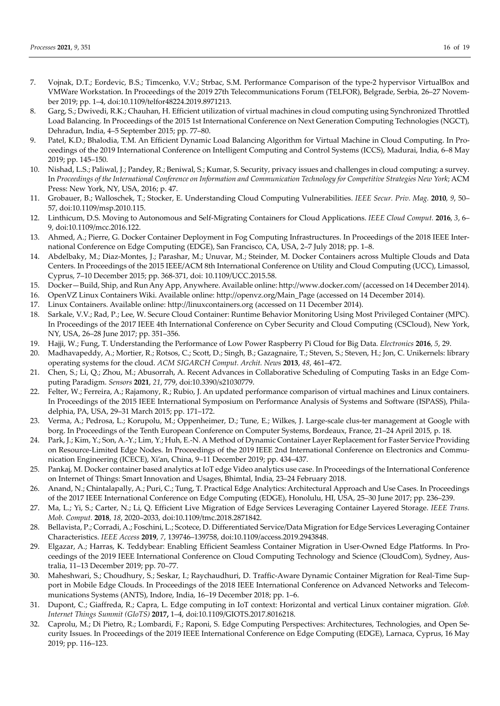- 7. Vojnak, D.T.; Eordevic, B.S.; Timcenko, V.V.; Strbac, S.M. Performance Comparison of the type-2 hypervisor VirtualBox and VMWare Workstation. In Proceedings of the 2019 27th Telecommunications Forum (TELFOR), Belgrade, Serbia*,* 26–27 November 2019; pp. 1–4, doi:10.1109/telfor48224.2019.8971213.
- 8. Garg, S.; Dwivedi, R.K.; Chauhan, H. Efficient utilization of virtual machines in cloud computing using Synchronized Throttled Load Balancing. In Proceedings of the 2015 1st International Conference on Next Generation Computing Technologies (NGCT), Dehradun, India, 4–5 September 2015; pp. 77–80.
- 9. Patel, K.D.; Bhalodia, T.M. An Efficient Dynamic Load Balancing Algorithm for Virtual Machine in Cloud Computing. In Proceedings of the 2019 International Conference on Intelligent Computing and Control Systems (ICCS), Madurai, India, 6–8 May 2019; pp. 145–150.
- 10. Nishad, L.S.; Paliwal, J.; Pandey, R.; Beniwal, S.; Kumar, S. Security, privacy issues and challenges in cloud computing: a survey. In *Proceedings of the International Conference on Information and Communication Technology for Competitive Strategies New York*; ACM Press: New York, NY, USA, 2016; p. 47.
- 11. Grobauer, B.; Walloschek, T.; Stocker, E. Understanding Cloud Computing Vulnerabilities. *IEEE Secur. Priv. Mag.* **2010**, *9*, 50– 57, doi:10.1109/msp.2010.115.
- 12. Linthicum, D.S. Moving to Autonomous and Self-Migrating Containers for Cloud Applications. *IEEE Cloud Comput.* **2016**, *3*, 6– 9, doi:10.1109/mcc.2016.122.
- 13. Ahmed, A.; Pierre, G. Docker Container Deployment in Fog Computing Infrastructures. In Proceedings of the 2018 IEEE International Conference on Edge Computing (EDGE), San Francisco, CA, USA, 2–7 July 2018; pp. 1–8.
- 14. Abdelbaky, M.; Diaz-Montes, J.; Parashar, M.; Unuvar, M.; Steinder, M. Docker Containers across Multiple Clouds and Data Centers. In Proceedings of the 2015 IEEE/ACM 8th International Conference on Utility and Cloud Computing (UCC), Limassol, Cyprus, 7–10 December 2015; pp. 368-371, doi: 10.1109/UCC.2015.58.
- 15. Docker—Build, Ship, and Run Any App, Anywhere. Available online: http://www.docker.com/ (accessed on 14 December 2014).
- 16. OpenVZ Linux Containers Wiki. Available online: http://openvz.org/Main\_Page (accessed on 14 December 2014).
- 17. Linux Containers. Available online: http://linuxcontainers.org (accessed on 11 December 2014).
- 18. Sarkale, V.V.; Rad, P.; Lee, W. Secure Cloud Container: Runtime Behavior Monitoring Using Most Privileged Container (MPC). In Proceedings of the 2017 IEEE 4th International Conference on Cyber Security and Cloud Computing (CSCloud), New York, NY, USA, 26–28 June 2017; pp. 351–356.
- 19. Hajji, W.; Fung, T. Understanding the Performance of Low Power Raspberry Pi Cloud for Big Data. *Electronics* **2016**, *5*, 29.
- 20. Madhavapeddy, A.; Mortier, R.; Rotsos, C.; Scott, D.; Singh, B.; Gazagnaire, T.; Steven, S.; Steven, H.; Jon, C. Unikernels: library operating systems for the cloud. *ACM SIGARCH Comput. Archit. News* **2013**, *48*, 461–472.
- 21. Chen, S.; Li, Q.; Zhou, M.; Abusorrah, A. Recent Advances in Collaborative Scheduling of Computing Tasks in an Edge Computing Paradigm. *Sensors* **2021**, *21*, 779, doi:10.3390/s21030779.
- 22. Felter, W.; Ferreira, A.; Rajamony, R.; Rubio, J. An updated performance comparison of virtual machines and Linux containers. In Proceedings of the 2015 IEEE International Symposium on Performance Analysis of Systems and Software (ISPASS), Philadelphia, PA, USA, 29–31 March 2015; pp. 171–172.
- 23. Verma, A.; Pedrosa, L.; Korupolu, M.; Oppenheimer, D.; Tune, E.; Wilkes, J. Large-scale clus-ter management at Google with borg. In Proceedings of the Tenth European Conference on Computer Systems, Bordeaux, France, 21–24 April 2015, p. 18.
- 24. Park, J.; Kim, Y.; Son, A.-Y.; Lim, Y.; Huh, E.-N. A Method of Dynamic Container Layer Replacement for Faster Service Providing on Resource-Limited Edge Nodes. In Proceedings of the 2019 IEEE 2nd International Conference on Electronics and Communication Engineering (ICECE), Xi'an, China, 9–11 December 2019; pp. 434–437.
- 25. Pankaj, M. Docker container based analytics at IoT edge Video analytics use case. In Proceedings of the International Conference on Internet of Things: Smart Innovation and Usages, Bhimtal, India, 23–24 February 2018.
- 26. Anand, N.; Chintalapally, A.; Puri, C.; Tung, T. Practical Edge Analytics: Architectural Approach and Use Cases. In Proceedings of the 2017 IEEE International Conference on Edge Computing (EDGE), Honolulu, HI, USA, 25–30 June 2017; pp. 236–239.
- 27. Ma, L.; Yi, S.; Carter, N.; Li, Q. Efficient Live Migration of Edge Services Leveraging Container Layered Storage. *IEEE Trans. Mob. Comput.* **2018**, *18*, 2020–2033, doi:10.1109/tmc.2018.2871842.
- 28. Bellavista, P.; Corradi, A.; Foschini, L.; Scotece, D. Differentiated Service/Data Migration for Edge Services Leveraging Container Characteristics. *IEEE Access* **2019**, *7*, 139746–139758, doi:10.1109/access.2019.2943848.
- 29. Elgazar, A.; Harras, K. Teddybear: Enabling Efficient Seamless Container Migration in User-Owned Edge Platforms. In Proceedings of the 2019 IEEE International Conference on Cloud Computing Technology and Science (CloudCom), Sydney, Australia, 11–13 December 2019; pp. 70–77.
- 30. Maheshwari, S.; Choudhury, S.; Seskar, I.; Raychaudhuri, D. Traffic-Aware Dynamic Container Migration for Real-Time Support in Mobile Edge Clouds. In Proceedings of the 2018 IEEE International Conference on Advanced Networks and Telecommunications Systems (ANTS), Indore, India, 16–19 December 2018; pp. 1–6.
- 31. Dupont, C.; Giaffreda, R.; Capra, L. Edge computing in IoT context: Horizontal and vertical Linux container migration. *Glob. Internet Things Summit (GIoTS)* **2017,** 1–4, doi:10.1109/GIOTS.2017.8016218.
- 32. Caprolu, M.; Di Pietro, R.; Lombardi, F.; Raponi, S. Edge Computing Perspectives: Architectures, Technologies, and Open Security Issues. In Proceedings of the 2019 IEEE International Conference on Edge Computing (EDGE), Larnaca, Cyprus, 16 May 2019; pp. 116–123.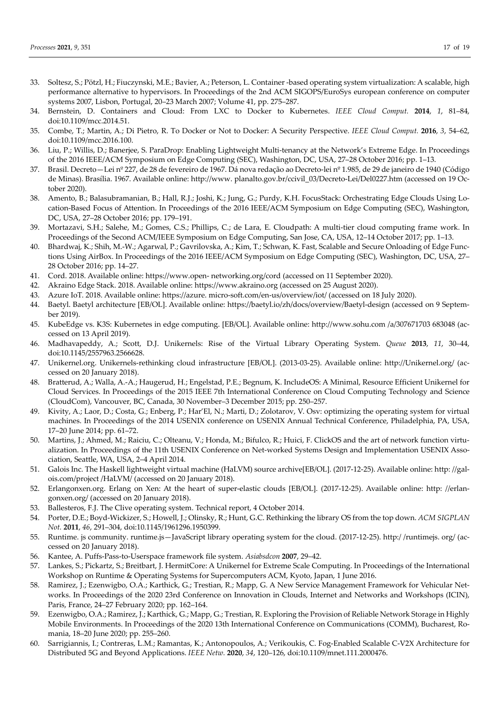- 33. Soltesz, S.; Pötzl, H.; Fiuczynski, M.E.; Bavier, A.; Peterson, L. Container -based operating system virtualization: A scalable, high performance alternative to hypervisors. In Proceedings of the 2nd ACM SIGOPS/EuroSys european conference on computer systems 2007, Lisbon, Portugal, 20–23 March 2007; Volume 41, pp. 275–287.
- 34. Bernstein, D. Containers and Cloud: From LXC to Docker to Kubernetes. *IEEE Cloud Comput.* **2014**, *1*, 81–84, doi:10.1109/mcc.2014.51.
- 35. Combe, T.; Martin, A.; Di Pietro, R. To Docker or Not to Docker: A Security Perspective. *IEEE Cloud Comput.* **2016**, *3*, 54–62, doi:10.1109/mcc.2016.100.
- 36. Liu, P.; Willis, D.; Banerjee, S. ParaDrop: Enabling Lightweight Multi-tenancy at the Network's Extreme Edge. In Proceedings of the 2016 IEEE/ACM Symposium on Edge Computing (SEC), Washington, DC, USA, 27–28 October 2016; pp. 1–13.
- 37. Brasil. Decreto—Lei nº 227, de 28 de fevereiro de 1967. Dá nova redação ao Decreto-lei nº 1.985, de 29 de janeiro de 1940 (Código de Minas). Brasília. 1967. Available online: http://www. planalto.gov.br/ccivil\_03/Decreto-Lei/Del0227.htm (accessed on 19 October 2020).
- 38. Amento, B.; Balasubramanian, B.; Hall, R.J.; Joshi, K.; Jung, G.; Purdy, K.H. FocusStack: Orchestrating Edge Clouds Using Location-Based Focus of Attention. In Proceedings of the 2016 IEEE/ACM Symposium on Edge Computing (SEC), Washington, DC, USA, 27–28 October 2016; pp. 179–191.
- 39. Mortazavi, S.H.; Salehe, M.; Gomes, C.S.; Phillips, C.; de Lara, E. Cloudpath: A multi-tier cloud computing frame work. In Proceedings of the Second ACM/IEEE Symposium on Edge Computing, San Jose, CA, USA, 12–14 October 2017; pp. 1–13.
- 40. Bhardwaj, K.; Shih, M.-W.; Agarwal, P.; Gavrilovska, A.; Kim, T.; Schwan, K. Fast, Scalable and Secure Onloading of Edge Functions Using AirBox. In Proceedings of the 2016 IEEE/ACM Symposium on Edge Computing (SEC), Washington, DC, USA, 27– 28 October 2016; pp. 14–27.
- 41. Cord. 2018. Available online: https://www.open- networking.org/cord (accessed on 11 September 2020).
- 42. Akraino Edge Stack. 2018. Available online: https://www.akraino.org (accessed on 25 August 2020).
- 43. Azure IoT. 2018. Available online: https://azure. micro-soft.com/en-us/overview/iot/ (accessed on 18 July 2020).
- 44. Baetyl. Baetyl architecture [EB/OL]. Available online: https://baetyl.io/zh/docs/overview/Baetyl-design (accessed on 9 September 2019).
- 45. KubeEdge vs. K3S: Kubernetes in edge computing. [EB/OL]. Available online: http://www.sohu.com /a/307671703 683048 (accessed on 13 April 2019).
- 46. Madhavapeddy, A.; Scott, D.J. Unikernels: Rise of the Virtual Library Operating System. *Queue* **2013**, *11*, 30–44, doi:10.1145/2557963.2566628.
- 47. Unikernel.org. Unikernels-rethinking cloud infrastructure [EB/OL]. (2013-03-25). Available online: http://Unikernel.org/ (accessed on 20 January 2018).
- 48. Bratterud, A.; Walla, A.-A.; Haugerud, H.; Engelstad, P.E.; Begnum, K. IncludeOS: A Minimal, Resource Efficient Unikernel for Cloud Services. In Proceedings of the 2015 IEEE 7th International Conference on Cloud Computing Technology and Science (CloudCom), Vancouver, BC, Canada, 30 November–3 December 2015; pp. 250–257.
- 49. Kivity, A.; Laor, D.; Costa, G.; Enberg, P.; Har'El, N.; Marti, D.; Zolotarov, V. Osv: optimizing the operating system for virtual machines. In Proceedings of the 2014 USENIX conference on USENIX Annual Technical Conference, Philadelphia, PA, USA, 17–20 June 2014; pp. 61–72.
- 50. Martins, J.; Ahmed, M.; Raiciu, C.; Olteanu, V.; Honda, M.; Bifulco, R.; Huici, F. ClickOS and the art of network function virtualization. In Proceedings of the 11th USENIX Conference on Net-worked Systems Design and Implementation USENIX Association, Seattle, WA, USA, 2–4 April 2014.
- 51. Galois Inc. The Haskell lightweight virtual machine (HaLVM) source archive[EB/OL]. (2017-12-25). Available online: http: //galois.com/project /HaLVM/ (accessed on 20 January 2018).
- 52. Erlangonxen.org. Erlang on Xen: At the heart of super-elastic clouds [EB/OL]. (2017-12-25). Available online: http: //erlangonxen.org/ (accessed on 20 January 2018).
- 53. Ballesteros, F.J. The Clive operating system. Technical report, 4 October 2014.
- 54. Porter, D.E.; Boyd-Wickizer, S.; Howell, J.; Olinsky, R.; Hunt, G.C. Rethinking the library OS from the top down. *ACM SIGPLAN Not.* **2011**, *46*, 291–304, doi:10.1145/1961296.1950399.
- 55. Runtime. js community. runtime.js—JavaScript library operating system for the cloud. (2017-12-25). http:/ /runtimejs. org/ (accessed on 20 January 2018).
- 56. Kantee, A. Puffs-Pass-to-Userspace framework file system. *Asiabsdcon* **2007**, 29–42.
- 57. Lankes, S.; Pickartz, S.; Breitbart, J. HermitCore: A Unikernel for Extreme Scale Computing. In Proceedings of the International Workshop on Runtime & Operating Systems for Supercomputers ACM, Kyoto, Japan, 1 June 2016.
- 58. Ramirez, J.; Ezenwigbo, O.A.; Karthick, G.; Trestian, R.; Mapp, G. A New Service Management Framework for Vehicular Networks. In Proceedings of the 2020 23rd Conference on Innovation in Clouds, Internet and Networks and Workshops (ICIN), Paris, France, 24–27 February 2020; pp. 162–164.
- 59. Ezenwigbo, O.A.; Ramirez, J.; Karthick, G.; Mapp, G.; Trestian, R. Exploring the Provision of Reliable Network Storage in Highly Mobile Environments. In Proceedings of the 2020 13th International Conference on Communications (COMM), Bucharest, Romania, 18–20 June 2020; pp. 255–260.
- 60. Sarrigiannis, I.; Contreras, L.M.; Ramantas, K.; Antonopoulos, A.; Verikoukis, C. Fog-Enabled Scalable C-V2X Architecture for Distributed 5G and Beyond Applications. *IEEE Netw.* **2020**, *34*, 120–126, doi:10.1109/mnet.111.2000476.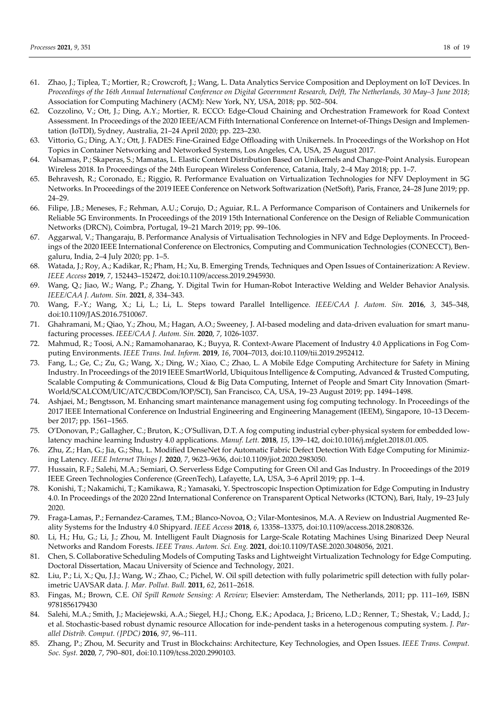- 61. Zhao, J.; Tiplea, T.; Mortier, R.; Crowcroft, J.; Wang, L. Data Analytics Service Composition and Deployment on IoT Devices. In *Proceedings of the 16th Annual International Conference on Digital Government Research, Delft, The Netherlands, 30 May–3 June 2018*; Association for Computing Machinery (ACM): New York, NY, USA, 2018; pp. 502–504.
- 62. Cozzolino, V.; Ott, J.; Ding, A.Y.; Mortier, R. ECCO: Edge-Cloud Chaining and Orchestration Framework for Road Context Assessment. In Proceedings of the 2020 IEEE/ACM Fifth International Conference on Internet-of-Things Design and Implementation (IoTDI), Sydney, Australia, 21–24 April 2020; pp. 223–230.
- 63. Vittorio, G.; Ding, A.Y.; Ott, J. FADES: Fine-Grained Edge Offloading with Unikernels. In Proceedings of the Workshop on Hot Topics in Container Networking and Networked Systems, Los Angeles, CA, USA, 25 August 2017.
- 64. Valsamas, P.; Skaperas, S.; Mamatas, L. Elastic Content Distribution Based on Unikernels and Change-Point Analysis. European Wireless 2018. In Proceedings of the 24th European Wireless Conference, Catania, Italy, 2–4 May 2018; pp. 1–7.
- 65. Behravesh, R.; Coronado, E.; Riggio, R. Performance Evaluation on Virtualization Technologies for NFV Deployment in 5G Networks. In Proceedings of the 2019 IEEE Conference on Network Softwarization (NetSoft), Paris, France, 24–28 June 2019; pp. 24–29.
- 66. Filipe, J.B.; Meneses, F.; Rehman, A.U.; Corujo, D.; Aguiar, R.L. A Performance Comparison of Containers and Unikernels for Reliable 5G Environments. In Proceedings of the 2019 15th International Conference on the Design of Reliable Communication Networks (DRCN), Coimbra, Portugal, 19–21 March 2019; pp. 99–106.
- 67. Aggarwal, V.; Thangaraju, B. Performance Analysis of Virtualisation Technologies in NFV and Edge Deployments. In Proceedings of the 2020 IEEE International Conference on Electronics, Computing and Communication Technologies (CONECCT), Bengaluru, India, 2–4 July 2020; pp. 1–5.
- 68. Watada, J.; Roy, A.; Kadikar, R.; Pham, H.; Xu, B. Emerging Trends, Techniques and Open Issues of Containerization: A Review. *IEEE Access* **2019**, *7*, 152443–152472, doi:10.1109/access.2019.2945930.
- 69. Wang, Q.; Jiao, W.; Wang, P.; Zhang, Y. Digital Twin for Human-Robot Interactive Welding and Welder Behavior Analysis. *IEEE/CAA J. Autom. Sin.* **2021**, *8*, 334–343.
- 70. Wang, F.-Y.; Wang, X.; Li, L.; Li, L. Steps toward Parallel Intelligence. *IEEE/CAA J. Autom. Sin.* **2016**, *3*, 345–348, doi:10.1109/JAS.2016.7510067.
- 71. Ghahramani, M.; Qiao, Y.; Zhou, M.; Hagan, A.O.; Sweeney, J. AI-based modeling and data-driven evaluation for smart manufacturing processes. *IEEE/CAA J. Autom. Sin.* **2020**, *7*, 1026-1037.
- 72. Mahmud, R.; Toosi, A.N.; Ramamohanarao, K.; Buyya, R. Context-Aware Placement of Industry 4.0 Applications in Fog Computing Environments. *IEEE Trans. Ind. Inform.* **2019**, *16*, 7004–7013, doi:10.1109/tii.2019.2952412.
- 73. Fang, L.; Ge, C.; Zu, G.; Wang, X.; Ding, W.; Xiao, C.; Zhao, L. A Mobile Edge Computing Architecture for Safety in Mining Industry. In Proceedings of the 2019 IEEE SmartWorld, Ubiquitous Intelligence & Computing, Advanced & Trusted Computing, Scalable Computing & Communications, Cloud & Big Data Computing, Internet of People and Smart City Innovation (Smart-World/SCALCOM/UIC/ATC/CBDCom/IOP/SCI), San Francisco, CA, USA, 19–23 August 2019; pp. 1494–1498.
- 74. Ashjaei, M.; Bengtsson, M. Enhancing smart maintenance management using fog computing technology. In Proceedings of the 2017 IEEE International Conference on Industrial Engineering and Engineering Management (IEEM), Singapore, 10–13 December 2017; pp. 1561–1565.
- 75. O'Donovan, P.; Gallagher, C.; Bruton, K.; O'Sullivan, D.T. A fog computing industrial cyber-physical system for embedded lowlatency machine learning Industry 4.0 applications. *Manuf. Lett.* **2018**, *15*, 139–142, doi:10.1016/j.mfglet.2018.01.005.
- 76. Zhu, Z.; Han, G.; Jia, G.; Shu, L. Modified DenseNet for Automatic Fabric Defect Detection With Edge Computing for Minimizing Latency. *IEEE Internet Things J.* **2020**, *7*, 9623–9636, doi:10.1109/jiot.2020.2983050.
- 77. Hussain, R.F.; Salehi, M.A.; Semiari, O. Serverless Edge Computing for Green Oil and Gas Industry. In Proceedings of the 2019 IEEE Green Technologies Conference (GreenTech), Lafayette, LA, USA, 3–6 April 2019; pp. 1–4.
- 78. Konishi, T.; Nakamichi, T.; Kamikawa, R.; Yamasaki, Y. Spectroscopic Inspection Optimization for Edge Computing in Industry 4.0. In Proceedings of the 2020 22nd International Conference on Transparent Optical Networks (ICTON), Bari, Italy, 19–23 July 2020.
- 79. Fraga-Lamas, P.; Fernandez-Carames, T.M.; Blanco-Novoa, O.; Vilar-Montesinos, M.A. A Review on Industrial Augmented Reality Systems for the Industry 4.0 Shipyard. *IEEE Access* **2018**, *6*, 13358–13375, doi:10.1109/access.2018.2808326.
- 80. Li, H.; Hu, G.; Li, J.; Zhou, M. Intelligent Fault Diagnosis for Large-Scale Rotating Machines Using Binarized Deep Neural Networks and Random Forests. *IEEE Trans. Autom. Sci. Eng.* **2021**, doi:10.1109/TASE.2020.3048056, 2021.
- 81. Chen, S. Collaborative Scheduling Models of Computing Tasks and Lightweight Virtualization Technology for Edge Computing. Doctoral Dissertation, Macau University of Science and Technology, 2021.
- 82. Liu, P.; Li, X.; Qu, J.J.; Wang, W.; Zhao, C.; Pichel, W. Oil spill detection with fully polarimetric spill detection with fully polarimetric UAVSAR data. *J. Mar. Pollut. Bull.* **2011**, *62*, 2611–2618.
- 83. Fingas, M.; Brown, C.E. *Oil Spill Remote Sensing: A Review*; Elsevier: Amsterdam, The Netherlands, 2011; pp. 111–169, ISBN 9781856179430
- 84. Salehi, M.A.; Smith, J.; Maciejewski, A.A.; Siegel, H.J.; Chong, E.K.; Apodaca, J.; Briceno, L.D.; Renner, T.; Shestak, V.; Ladd, J.; et al. Stochastic-based robust dynamic resource Allocation for inde-pendent tasks in a heterogenous computing system. *J. Parallel Distrib. Comput. (JPDC)* **2016**, *97*, 96–111.
- 85. Zhang, P.; Zhou, M. Security and Trust in Blockchains: Architecture, Key Technologies, and Open Issues. *IEEE Trans. Comput. Soc. Syst.* **2020**, *7*, 790–801, doi:10.1109/tcss.2020.2990103.